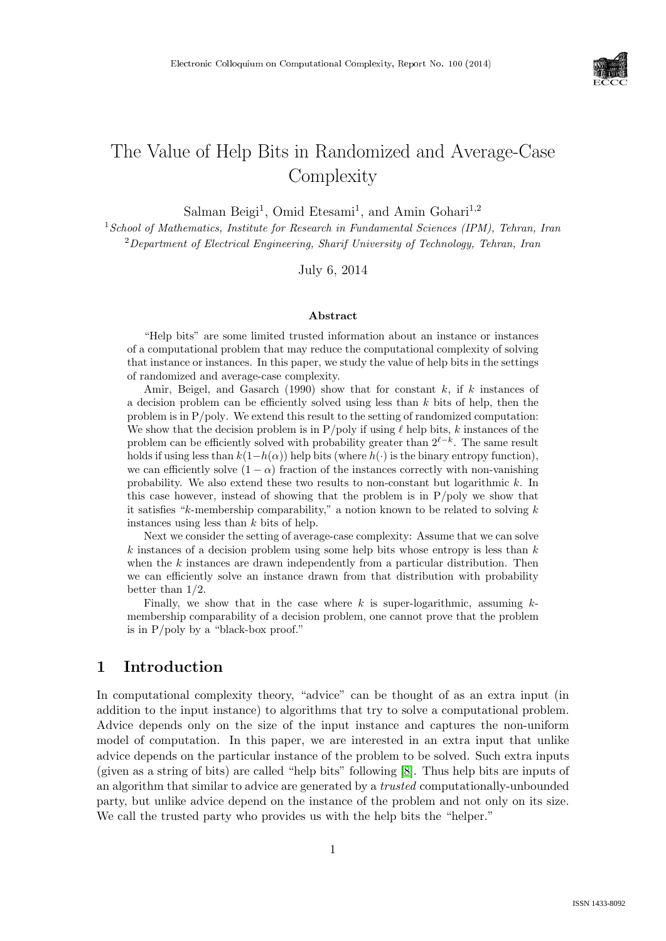

# The Value of Help Bits in Randomized and Average-Case **Complexity**

Salman Beigi<sup>1</sup>, Omid Etesami<sup>1</sup>, and Amin Gohari<sup>1,2</sup>

 $1$ School of Mathematics, Institute for Research in Fundamental Sciences (IPM), Tehran, Iran <sup>2</sup>Department of Electrical Engineering, Sharif University of Technology, Tehran, Iran

July 6, 2014

#### Abstract

"Help bits" are some limited trusted information about an instance or instances of a computational problem that may reduce the computational complexity of solving that instance or instances. In this paper, we study the value of help bits in the settings of randomized and average-case complexity.

Amir, Beigel, and Gasarch (1990) show that for constant  $k$ , if k instances of a decision problem can be efficiently solved using less than  $k$  bits of help, then the problem is in P/poly. We extend this result to the setting of randomized computation: We show that the decision problem is in  $P/poly$  if using  $\ell$  help bits, k instances of the problem can be efficiently solved with probability greater than  $2^{\ell-k}$ . The same result holds if using less than  $k(1-h(\alpha))$  help bits (where  $h(\cdot)$  is the binary entropy function), we can efficiently solve  $(1 - \alpha)$  fraction of the instances correctly with non-vanishing probability. We also extend these two results to non-constant but logarithmic k. In this case however, instead of showing that the problem is in P/poly we show that it satisfies " $k$ -membership comparability," a notion known to be related to solving  $k$ instances using less than k bits of help.

Next we consider the setting of average-case complexity: Assume that we can solve  $k$  instances of a decision problem using some help bits whose entropy is less than  $k$ when the  $k$  instances are drawn independently from a particular distribution. Then we can efficiently solve an instance drawn from that distribution with probability better than 1/2.

Finally, we show that in the case where k is super-logarithmic, assuming  $k$ membership comparability of a decision problem, one cannot prove that the problem is in P/poly by a "black-box proof."

# 1 Introduction

In computational complexity theory, "advice" can be thought of as an extra input (in addition to the input instance) to algorithms that try to solve a computational problem. Advice depends only on the size of the input instance and captures the non-uniform model of computation. In this paper, we are interested in an extra input that unlike advice depends on the particular instance of the problem to be solved. Such extra inputs (given as a string of bits) are called "help bits" following [\[8\]](#page--1-0). Thus help bits are inputs of an algorithm that similar to advice are generated by a trusted computationally-unbounded party, but unlike advice depend on the instance of the problem and not only on its size. We call the trusted party who provides us with the help bits the "helper."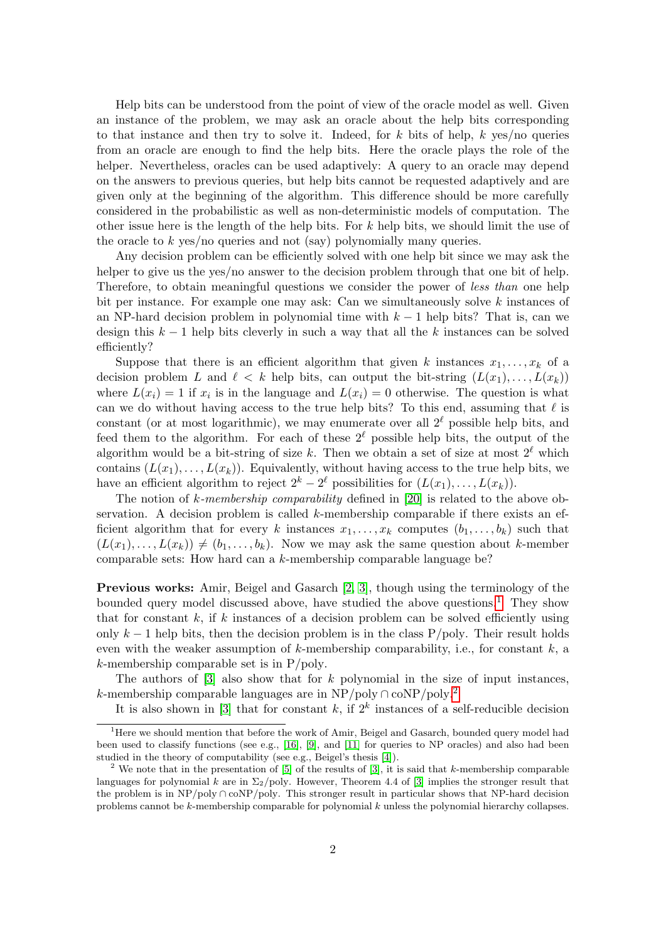Help bits can be understood from the point of view of the oracle model as well. Given an instance of the problem, we may ask an oracle about the help bits corresponding to that instance and then try to solve it. Indeed, for k bits of help, k yes/no queries from an oracle are enough to find the help bits. Here the oracle plays the role of the helper. Nevertheless, oracles can be used adaptively: A query to an oracle may depend on the answers to previous queries, but help bits cannot be requested adaptively and are given only at the beginning of the algorithm. This difference should be more carefully considered in the probabilistic as well as non-deterministic models of computation. The other issue here is the length of the help bits. For k help bits, we should limit the use of the oracle to  $k$  yes/no queries and not (say) polynomially many queries.

Any decision problem can be efficiently solved with one help bit since we may ask the helper to give us the yes/no answer to the decision problem through that one bit of help. Therefore, to obtain meaningful questions we consider the power of less than one help bit per instance. For example one may ask: Can we simultaneously solve k instances of an NP-hard decision problem in polynomial time with  $k-1$  help bits? That is, can we design this  $k-1$  help bits cleverly in such a way that all the k instances can be solved efficiently?

Suppose that there is an efficient algorithm that given k instances  $x_1, \ldots, x_k$  of a decision problem L and  $\ell < k$  help bits, can output the bit-string  $(L(x_1), \ldots, L(x_k))$ where  $L(x_i) = 1$  if  $x_i$  is in the language and  $L(x_i) = 0$  otherwise. The question is what can we do without having access to the true help bits? To this end, assuming that  $\ell$  is constant (or at most logarithmic), we may enumerate over all  $2^{\ell}$  possible help bits, and feed them to the algorithm. For each of these  $2^{\ell}$  possible help bits, the output of the algorithm would be a bit-string of size k. Then we obtain a set of size at most  $2^{\ell}$  which contains  $(L(x_1), \ldots, L(x_k))$ . Equivalently, without having access to the true help bits, we have an efficient algorithm to reject  $2^k - 2^{\ell}$  possibilities for  $(L(x_1), \ldots, L(x_k))$ .

The notion of k-membership comparability defined in  $[20]$  is related to the above observation. A decision problem is called k-membership comparable if there exists an efficient algorithm that for every k instances  $x_1, \ldots, x_k$  computes  $(b_1, \ldots, b_k)$  such that  $(L(x_1), \ldots, L(x_k)) \neq (b_1, \ldots, b_k)$ . Now we may ask the same question about k-member comparable sets: How hard can a k-membership comparable language be?

Previous works: Amir, Beigel and Gasarch [\[2,](#page-14-1) [3\]](#page-14-2), though using the terminology of the bounded query model discussed above, have studied the above questions.<sup>[1](#page-1-0)</sup> They show that for constant  $k$ , if  $k$  instances of a decision problem can be solved efficiently using only  $k-1$  help bits, then the decision problem is in the class P/poly. Their result holds even with the weaker assumption of  $k$ -membership comparability, i.e., for constant  $k$ , a k-membership comparable set is in P/poly.

The authors of  $[3]$  also show that for k polynomial in the size of input instances, k-membership comparable languages are in NP/poly ∩ coNP/poly.<sup>[2](#page-1-1)</sup>

It is also shown in [\[3\]](#page-14-2) that for constant k, if  $2^k$  instances of a self-reducible decision

<span id="page-1-0"></span><sup>&</sup>lt;sup>1</sup>Here we should mention that before the work of Amir, Beigel and Gasarch, bounded query model had been used to classify functions (see e.g., [\[16\]](#page-14-3), [\[9\]](#page-14-4), and [\[11\]](#page-14-5) for queries to NP oracles) and also had been studied in the theory of computability (see e.g., Beigel's thesis [\[4\]](#page-14-6)).

<span id="page-1-1"></span><sup>&</sup>lt;sup>2</sup> We note that in the presentation of [\[5\]](#page-14-7) of the results of [\[3\]](#page-14-2), it is said that k-membership comparable languages for polynomial k are in  $\Sigma_2$ /poly. However, Theorem 4.4 of [\[3\]](#page-14-2) implies the stronger result that the problem is in NP/poly ∩ coNP/poly. This stronger result in particular shows that NP-hard decision problems cannot be k-membership comparable for polynomial k unless the polynomial hierarchy collapses.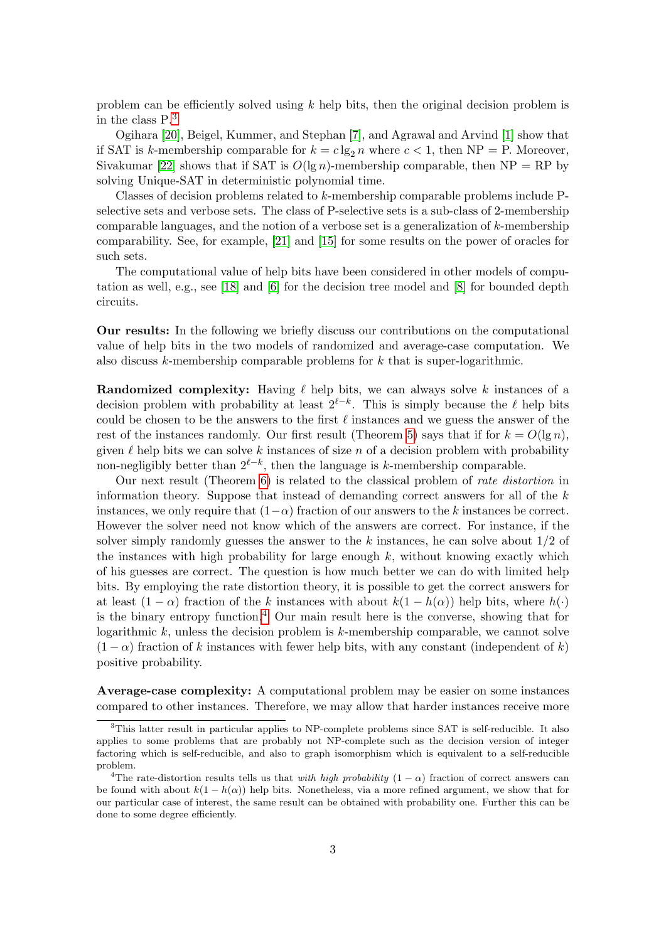problem can be efficiently solved using  $k$  help bits, then the original decision problem is in the class P.[3](#page-2-0)

Ogihara [\[20\]](#page-14-0), Beigel, Kummer, and Stephan [\[7\]](#page-14-8), and Agrawal and Arvind [\[1\]](#page-14-9) show that if SAT is k-membership comparable for  $k = c \lg_2 n$  where  $c < 1$ , then NP = P. Moreover, Sivakumar [\[22\]](#page--1-1) shows that if SAT is  $O(\lg n)$ -membership comparable, then NP = RP by solving Unique-SAT in deterministic polynomial time.

Classes of decision problems related to k-membership comparable problems include Pselective sets and verbose sets. The class of P-selective sets is a sub-class of 2-membership comparable languages, and the notion of a verbose set is a generalization of k-membership comparability. See, for example, [\[21\]](#page-14-10) and [\[15\]](#page-14-11) for some results on the power of oracles for such sets.

The computational value of help bits have been considered in other models of computation as well, e.g., see [\[18\]](#page-14-12) and [\[6\]](#page-14-13) for the decision tree model and [\[8\]](#page-14-14) for bounded depth circuits.

Our results: In the following we briefly discuss our contributions on the computational value of help bits in the two models of randomized and average-case computation. We also discuss  $k$ -membership comparable problems for  $k$  that is super-logarithmic.

**Randomized complexity:** Having  $\ell$  help bits, we can always solve k instances of a decision problem with probability at least  $2^{\ell-k}$ . This is simply because the  $\ell$  help bits could be chosen to be the answers to the first  $\ell$  instances and we guess the answer of the rest of the instances randomly. Our first result (Theorem [5\)](#page-5-0) says that if for  $k = O(\lg n)$ , given  $\ell$  help bits we can solve k instances of size n of a decision problem with probability non-negligibly better than  $2^{\ell-k}$ , then the language is k-membership comparable.

Our next result (Theorem [6\)](#page-5-1) is related to the classical problem of rate distortion in information theory. Suppose that instead of demanding correct answers for all of the  $k$ instances, we only require that  $(1-\alpha)$  fraction of our answers to the k instances be correct. However the solver need not know which of the answers are correct. For instance, if the solver simply randomly guesses the answer to the  $k$  instances, he can solve about  $1/2$  of the instances with high probability for large enough  $k$ , without knowing exactly which of his guesses are correct. The question is how much better we can do with limited help bits. By employing the rate distortion theory, it is possible to get the correct answers for at least  $(1 - \alpha)$  fraction of the k instances with about  $k(1 - h(\alpha))$  help bits, where  $h(\cdot)$ is the binary entropy function.<sup>[4](#page-2-1)</sup> Our main result here is the converse, showing that for logarithmic  $k$ , unless the decision problem is  $k$ -membership comparable, we cannot solve  $(1 - \alpha)$  fraction of k instances with fewer help bits, with any constant (independent of k) positive probability.

Average-case complexity: A computational problem may be easier on some instances compared to other instances. Therefore, we may allow that harder instances receive more

<span id="page-2-0"></span><sup>&</sup>lt;sup>3</sup>This latter result in particular applies to NP-complete problems since SAT is self-reducible. It also applies to some problems that are probably not NP-complete such as the decision version of integer factoring which is self-reducible, and also to graph isomorphism which is equivalent to a self-reducible problem.

<span id="page-2-1"></span><sup>&</sup>lt;sup>4</sup>The rate-distortion results tells us that *with high probability*  $(1 - \alpha)$  fraction of correct answers can be found with about  $k(1 - h(\alpha))$  help bits. Nonetheless, via a more refined argument, we show that for our particular case of interest, the same result can be obtained with probability one. Further this can be done to some degree efficiently.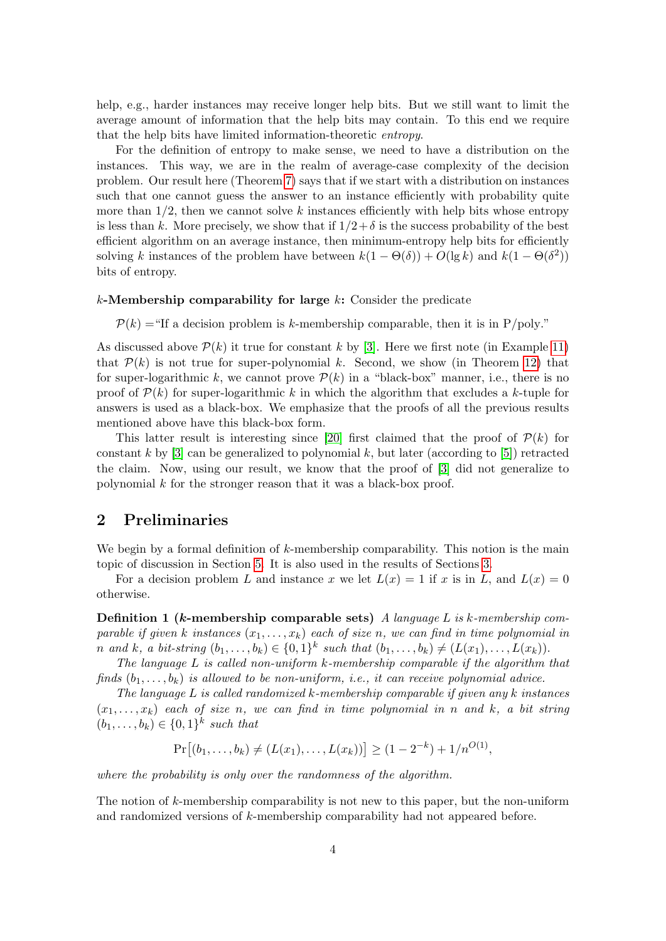help, e.g., harder instances may receive longer help bits. But we still want to limit the average amount of information that the help bits may contain. To this end we require that the help bits have limited information-theoretic entropy.

For the definition of entropy to make sense, we need to have a distribution on the instances. This way, we are in the realm of average-case complexity of the decision problem. Our result here (Theorem [7\)](#page-8-0) says that if we start with a distribution on instances such that one cannot guess the answer to an instance efficiently with probability quite more than  $1/2$ , then we cannot solve k instances efficiently with help bits whose entropy is less than k. More precisely, we show that if  $1/2+\delta$  is the success probability of the best efficient algorithm on an average instance, then minimum-entropy help bits for efficiently solving k instances of the problem have between  $k(1 - \Theta(\delta)) + O(\lg k)$  and  $k(1 - \Theta(\delta^2))$ bits of entropy.

#### $k$ -Membership comparability for large  $k$ : Consider the predicate

 $P(k) =$ "If a decision problem is k-membership comparable, then it is in P/poly."

As discussed above  $\mathcal{P}(k)$  it true for constant k by [\[3\]](#page-14-2). Here we first note (in Example [11\)](#page-12-0) that  $P(k)$  is not true for super-polynomial k. Second, we show (in Theorem [12\)](#page-13-0) that for super-logarithmic k, we cannot prove  $\mathcal{P}(k)$  in a "black-box" manner, i.e., there is no proof of  $\mathcal{P}(k)$  for super-logarithmic k in which the algorithm that excludes a k-tuple for answers is used as a black-box. We emphasize that the proofs of all the previous results mentioned above have this black-box form.

This latter result is interesting since [\[20\]](#page-14-0) first claimed that the proof of  $\mathcal{P}(k)$  for constant k by  $[3]$  can be generalized to polynomial k, but later (according to  $[5]$ ) retracted the claim. Now, using our result, we know that the proof of [\[3\]](#page-14-2) did not generalize to polynomial k for the stronger reason that it was a black-box proof.

#### 2 Preliminaries

We begin by a formal definition of  $k$ -membership comparability. This notion is the main topic of discussion in Section [5.](#page-12-1) It is also used in the results of Sections [3.](#page-5-2)

For a decision problem L and instance x we let  $L(x) = 1$  if x is in L, and  $L(x) = 0$ otherwise.

**Definition 1 (k-membership comparable sets)** A language L is k-membership comparable if given k instances  $(x_1, \ldots, x_k)$  each of size n, we can find in time polynomial in n and k, a bit-string  $(b_1, \ldots, b_k) \in \{0,1\}^k$  such that  $(b_1, \ldots, b_k) \neq (L(x_1), \ldots, L(x_k))$ .

The language L is called non-uniform k-membership comparable if the algorithm that finds  $(b_1, \ldots, b_k)$  is allowed to be non-uniform, i.e., it can receive polynomial advice.

The language  $L$  is called randomized  $k$ -membership comparable if given any  $k$  instances  $(x_1, \ldots, x_k)$  each of size n, we can find in time polynomial in n and k, a bit string  $(b_1, \ldots, b_k) \in \{0,1\}^k$  such that

$$
Pr[(b_1, ..., b_k) \neq (L(x_1), ..., L(x_k))] \geq (1 - 2^{-k}) + 1/n^{O(1)},
$$

where the probability is only over the randomness of the algorithm.

The notion of k-membership comparability is not new to this paper, but the non-uniform and randomized versions of k-membership comparability had not appeared before.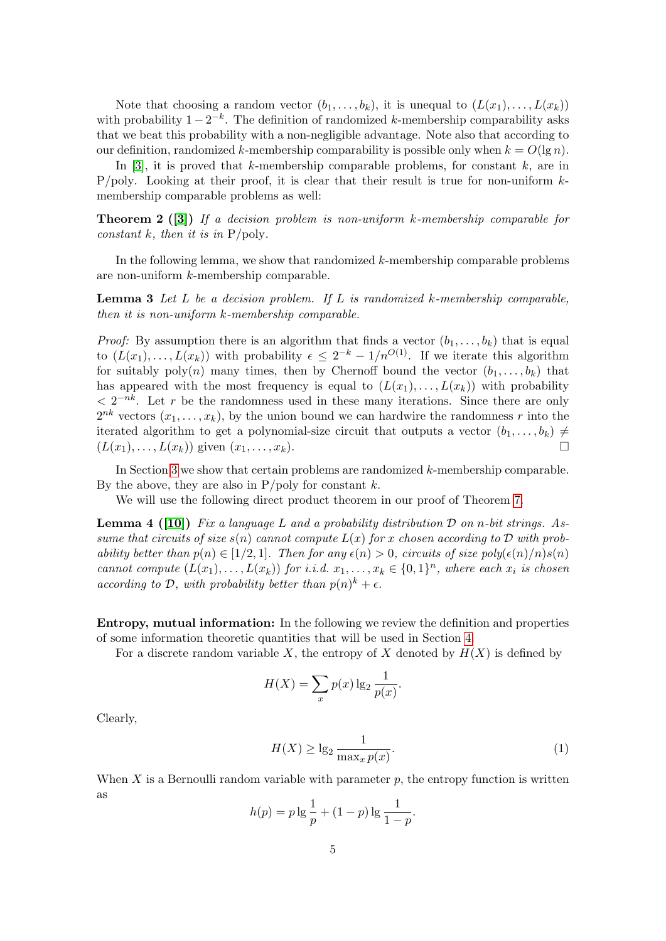Note that choosing a random vector  $(b_1, \ldots, b_k)$ , it is unequal to  $(L(x_1), \ldots, L(x_k))$ with probability  $1 - 2^{-k}$ . The definition of randomized k-membership comparability asks that we beat this probability with a non-negligible advantage. Note also that according to our definition, randomized k-membership comparability is possible only when  $k = O(\lg n)$ .

In [\[3\]](#page-14-2), it is proved that k-membership comparable problems, for constant  $k$ , are in  $P/poly.$  Looking at their proof, it is clear that their result is true for non-uniform  $k$ membership comparable problems as well:

<span id="page-4-0"></span>**Theorem 2** ([\[3\]](#page-14-2)) If a decision problem is non-uniform k-membership comparable for constant k, then it is in  $P/\text{poly}$ .

In the following lemma, we show that randomized k-membership comparable problems are non-uniform k-membership comparable.

<span id="page-4-1"></span>**Lemma 3** Let  $L$  be a decision problem. If  $L$  is randomized k-membership comparable, then it is non-uniform k-membership comparable.

*Proof:* By assumption there is an algorithm that finds a vector  $(b_1, \ldots, b_k)$  that is equal to  $(L(x_1),..., L(x_k))$  with probability  $\epsilon \leq 2^{-k} - 1/n^{O(1)}$ . If we iterate this algorithm for suitably  $poly(n)$  many times, then by Chernoff bound the vector  $(b_1, \ldots, b_k)$  that has appeared with the most frequency is equal to  $(L(x_1), \ldots, L(x_k))$  with probability  $\langle 2^{-nk} \rangle$ . Let r be the randomness used in these many iterations. Since there are only  $2^{nk}$  vectors  $(x_1, \ldots, x_k)$ , by the union bound we can hardwire the randomness r into the iterated algorithm to get a polynomial-size circuit that outputs a vector  $(b_1, \ldots, b_k) \neq$  $(L(x_1), \ldots, L(x_k))$  given  $(x_1, \ldots, x_k)$ .

In Section [3](#page-5-2) we show that certain problems are randomized k-membership comparable. By the above, they are also in  $P$ /poly for constant k.

We will use the following direct product theorem in our proof of Theorem [7.](#page-8-0)

<span id="page-4-3"></span>**Lemma 4** ([\[10\]](#page-14-15)) Fix a language L and a probability distribution  $\mathcal{D}$  on n-bit strings. Assume that circuits of size  $s(n)$  cannot compute  $L(x)$  for x chosen according to D with probability better than  $p(n) \in [1/2, 1]$ . Then for any  $\epsilon(n) > 0$ , circuits of size  $poly(\epsilon(n)/n)s(n)$ cannot compute  $(L(x_1),...,L(x_k))$  for i.i.d.  $x_1,...,x_k \in \{0,1\}^n$ , where each  $x_i$  is chosen according to D, with probability better than  $p(n)^k + \epsilon$ .

Entropy, mutual information: In the following we review the definition and properties of some information theoretic quantities that will be used in Section [4.](#page-7-0)

For a discrete random variable X, the entropy of X denoted by  $H(X)$  is defined by

$$
H(X) = \sum_{x} p(x) \lg_2 \frac{1}{p(x)}.
$$

Clearly,

<span id="page-4-2"></span>
$$
H(X) \ge \lg_2 \frac{1}{\max_x p(x)}.\tag{1}
$$

When  $X$  is a Bernoulli random variable with parameter  $p$ , the entropy function is written as

$$
h(p) = p \lg \frac{1}{p} + (1 - p) \lg \frac{1}{1 - p}.
$$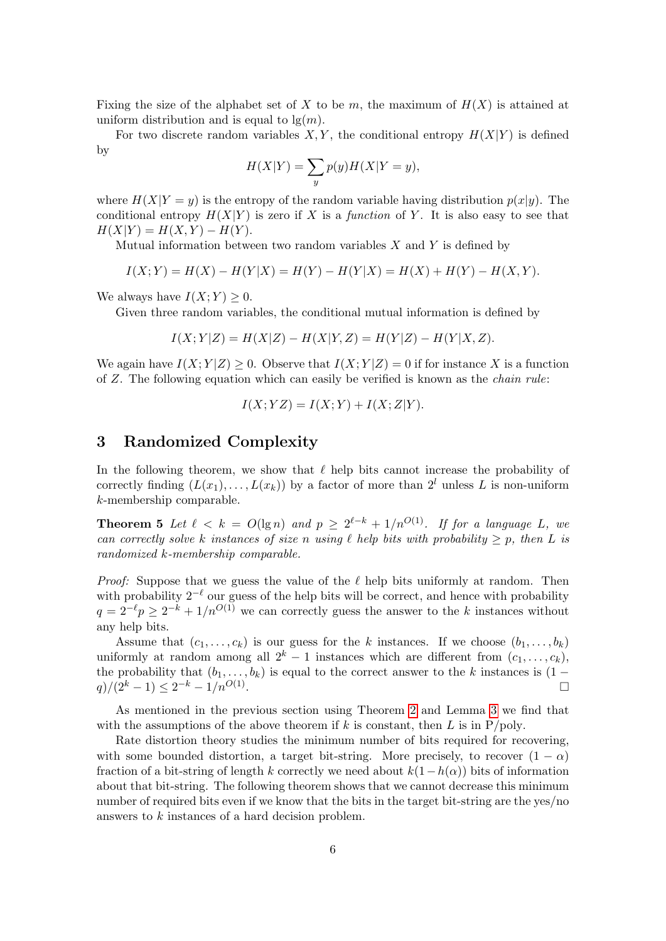Fixing the size of the alphabet set of X to be m, the maximum of  $H(X)$  is attained at uniform distribution and is equal to  $\lg(m)$ .

For two discrete random variables  $X, Y$ , the conditional entropy  $H(X|Y)$  is defined by

$$
H(X|Y) = \sum_{y} p(y)H(X|Y=y),
$$

where  $H(X|Y = y)$  is the entropy of the random variable having distribution  $p(x|y)$ . The conditional entropy  $H(X|Y)$  is zero if X is a function of Y. It is also easy to see that  $H(X|Y) = H(X, Y) - H(Y).$ 

Mutual information between two random variables  $X$  and  $Y$  is defined by

$$
I(X;Y) = H(X) - H(Y|X) = H(Y) - H(Y|X) = H(X) + H(Y) - H(X,Y).
$$

We always have  $I(X; Y) \geq 0$ .

Given three random variables, the conditional mutual information is defined by

$$
I(X; Y|Z) = H(X|Z) - H(X|Y, Z) = H(Y|Z) - H(Y|X, Z).
$$

We again have  $I(X; Y|Z) \geq 0$ . Observe that  $I(X; Y|Z) = 0$  if for instance X is a function of Z. The following equation which can easily be verified is known as the chain rule:

$$
I(X; YZ) = I(X; Y) + I(X; Z|Y).
$$

### <span id="page-5-2"></span>3 Randomized Complexity

In the following theorem, we show that  $\ell$  help bits cannot increase the probability of correctly finding  $(L(x_1), \ldots, L(x_k))$  by a factor of more than  $2^l$  unless L is non-uniform k-membership comparable.

<span id="page-5-0"></span>**Theorem 5** Let  $\ell < k = O(\lg n)$  and  $p \geq 2^{\ell-k} + 1/n^{O(1)}$ . If for a language L, we can correctly solve k instances of size n using  $\ell$  help bits with probability  $\geq p$ , then L is randomized k-membership comparable.

*Proof:* Suppose that we guess the value of the  $\ell$  help bits uniformly at random. Then with probability  $2^{-\ell}$  our guess of the help bits will be correct, and hence with probability  $q = 2^{-\ell}p \geq 2^{-k} + 1/n^{O(1)}$  we can correctly guess the answer to the k instances without any help bits.

Assume that  $(c_1, \ldots, c_k)$  is our guess for the k instances. If we choose  $(b_1, \ldots, b_k)$ uniformly at random among all  $2^k - 1$  instances which are different from  $(c_1, \ldots, c_k)$ , the probability that  $(b_1, \ldots, b_k)$  is equal to the correct answer to the k instances is  $(1$  $q)/(2^k-1) \leq 2^{-k} - 1/n^{O(1)}$ .

As mentioned in the previous section using Theorem [2](#page-4-0) and Lemma [3](#page-4-1) we find that with the assumptions of the above theorem if k is constant, then L is in  $P/poly$ .

<span id="page-5-1"></span>Rate distortion theory studies the minimum number of bits required for recovering, with some bounded distortion, a target bit-string. More precisely, to recover  $(1 - \alpha)$ fraction of a bit-string of length k correctly we need about  $k(1-h(\alpha))$  bits of information about that bit-string. The following theorem shows that we cannot decrease this minimum number of required bits even if we know that the bits in the target bit-string are the yes/no answers to k instances of a hard decision problem.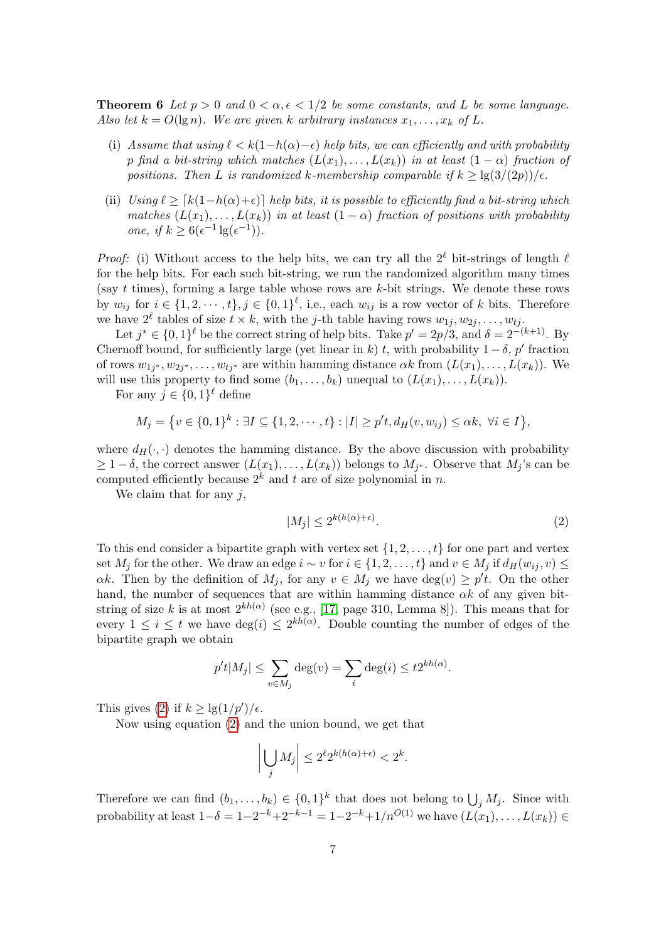**Theorem 6** Let  $p > 0$  and  $0 < \alpha, \epsilon < 1/2$  be some constants, and L be some language. Also let  $k = O(\lg n)$ . We are given k arbitrary instances  $x_1, \ldots, x_k$  of L.

- (i) Assume that using  $\ell < k(1-h(\alpha)-\epsilon)$  help bits, we can efficiently and with probability p find a bit-string which matches  $(L(x_1), \ldots, L(x_k))$  in at least  $(1 - \alpha)$  fraction of positions. Then L is randomized k-membership comparable if  $k \geq \lg(3/(2p))/\epsilon$ .
- (ii) Using  $\ell \geq [k(1-h(\alpha)+\epsilon)]$  help bits, it is possible to efficiently find a bit-string which matches  $(L(x_1),...,L(x_k))$  in at least  $(1-\alpha)$  fraction of positions with probability one, if  $k \geq 6(\epsilon^{-1} \lg(\epsilon^{-1}))$ .

*Proof:* (i) Without access to the help bits, we can try all the  $2^{\ell}$  bit-strings of length  $\ell$ for the help bits. For each such bit-string, we run the randomized algorithm many times (say t times), forming a large table whose rows are  $k$ -bit strings. We denote these rows by  $w_{ij}$  for  $i \in \{1, 2, \dots, t\}, j \in \{0, 1\}^{\ell}$ , i.e., each  $w_{ij}$  is a row vector of k bits. Therefore we have  $2^{\ell}$  tables of size  $t \times k$ , with the j-th table having rows  $w_{1j}, w_{2j}, \ldots, w_{tj}$ .

Let  $j^* \in \{0,1\}^{\ell}$  be the correct string of help bits. Take  $p' = 2p/3$ , and  $\delta = 2^{-(k+1)}$ . By Chernoff bound, for sufficiently large (yet linear in k) t, with probability  $1 - \delta$ , p' fraction of rows  $w_{1j^*}, w_{2j^*}, \ldots, w_{tj^*}$  are within hamming distance  $\alpha k$  from  $(L(x_1), \ldots, L(x_k))$ . We will use this property to find some  $(b_1, \ldots, b_k)$  unequal to  $(L(x_1), \ldots, L(x_k))$ .

For any  $j \in \{0,1\}^{\ell}$  define

$$
M_j = \{ v \in \{0,1\}^k : \exists I \subseteq \{1,2,\cdots,t\} : |I| \ge p't, d_H(v,w_{ij}) \le \alpha k, \ \forall i \in I \},
$$

where  $d_H(\cdot, \cdot)$  denotes the hamming distance. By the above discussion with probability  $\geq 1-\delta$ , the correct answer  $(L(x_1),...,L(x_k))$  belongs to  $M_{j^*}$ . Observe that  $M_j$ 's can be computed efficiently because  $2^k$  and t are of size polynomial in n.

We claim that for any  $j$ ,

<span id="page-6-0"></span>
$$
|M_j| \le 2^{k(h(\alpha) + \epsilon)}.\tag{2}
$$

To this end consider a bipartite graph with vertex set  $\{1, 2, \ldots, t\}$  for one part and vertex set  $M_j$  for the other. We draw an edge  $i \sim v$  for  $i \in \{1, 2, \ldots, t\}$  and  $v \in M_j$  if  $d_H(w_{ij}, v) \le$  $\alpha k$ . Then by the definition of  $M_j$ , for any  $v \in M_j$  we have  $\deg(v) \geq p't$ . On the other hand, the number of sequences that are within hamming distance  $\alpha k$  of any given bitstring of size k is at most  $2^{kh(\alpha)}$  (see e.g., [\[17,](#page-14-16) page 310, Lemma 8]). This means that for every  $1 \leq i \leq t$  we have  $\deg(i) \leq 2^{kh(\alpha)}$ . Double counting the number of edges of the bipartite graph we obtain

$$
p't|M_j| \leq \sum_{v \in M_j} \deg(v) = \sum_i \deg(i) \leq t2^{kh(\alpha)}.
$$

This gives [\(2\)](#page-6-0) if  $k \geq \lg(1/p')/\epsilon$ .

Now using equation [\(2\)](#page-6-0) and the union bound, we get that

$$
\left| \bigcup_j M_j \right| \le 2^{\ell} 2^{k(h(\alpha) + \epsilon)} < 2^k.
$$

Therefore we can find  $(b_1, \ldots, b_k) \in \{0,1\}^k$  that does not belong to  $\bigcup_j M_j$ . Since with probability at least  $1-\delta = 1-2^{-k}+2^{-k-1} = 1-2^{-k}+1/n^{O(1)}$  we have  $(L(x_1),...,L(x_k)) \in$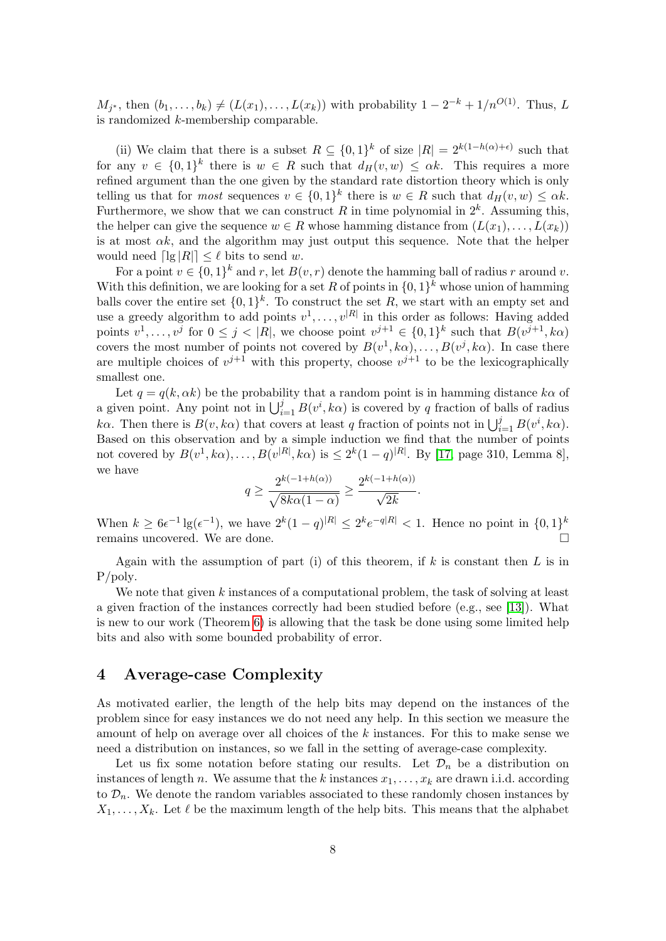$M_{j^*}$ , then  $(b_1, ..., b_k) \neq (L(x_1), ..., L(x_k))$  with probability  $1 - 2^{-k} + 1/n^{O(1)}$ . Thus, L is randomized k-membership comparable.

(ii) We claim that there is a subset  $R \subseteq \{0,1\}^k$  of size  $|R| = 2^{k(1-h(\alpha)+\epsilon)}$  such that for any  $v \in \{0,1\}^k$  there is  $w \in R$  such that  $d_H(v,w) \leq \alpha k$ . This requires a more refined argument than the one given by the standard rate distortion theory which is only telling us that for *most* sequences  $v \in \{0,1\}^k$  there is  $w \in R$  such that  $d_H(v, w) \leq \alpha k$ . Furthermore, we show that we can construct R in time polynomial in  $2^k$ . Assuming this, the helper can give the sequence  $w \in R$  whose hamming distance from  $(L(x_1), \ldots, L(x_k))$ is at most  $\alpha k$ , and the algorithm may just output this sequence. Note that the helper would need  $\lceil \lg |R| \rceil \leq \ell$  bits to send w.

For a point  $v \in \{0,1\}^k$  and r, let  $B(v,r)$  denote the hamming ball of radius r around v. With this definition, we are looking for a set R of points in  $\{0,1\}^k$  whose union of hamming balls cover the entire set  $\{0,1\}^k$ . To construct the set R, we start with an empty set and use a greedy algorithm to add points  $v^1, \ldots, v^{|R|}$  in this order as follows: Having added points  $v^1, \ldots, v^j$  for  $0 \leq j < |R|$ , we choose point  $v^{j+1} \in \{0,1\}^k$  such that  $B(v^{j+1}, k\alpha)$ covers the most number of points not covered by  $B(v^1, k\alpha), \ldots, B(v^j, k\alpha)$ . In case there are multiple choices of  $v^{j+1}$  with this property, choose  $v^{j+1}$  to be the lexicographically smallest one.

Let  $q = q(k, \alpha k)$  be the probability that a random point is in hamming distance  $k\alpha$  of a given point. Any point not in  $\bigcup_{i=1}^{j} B(v^i, k\alpha)$  is covered by q fraction of balls of radius kα. Then there is  $B(v, k\alpha)$  that covers at least q fraction of points not in  $\bigcup_{i=1}^{j} B(v^i, k\alpha)$ . Based on this observation and by a simple induction we find that the number of points not covered by  $B(v^1, k\alpha), \ldots, B(v^{|R|}, k\alpha)$  is  $\leq 2^k(1-q)^{|R|}$ . By [\[17,](#page-14-16) page 310, Lemma 8], we have

$$
q \ge \frac{2^{k(-1+h(\alpha))}}{\sqrt{8k\alpha(1-\alpha)}} \ge \frac{2^{k(-1+h(\alpha))}}{\sqrt{2k}}.
$$

When  $k \ge 6\epsilon^{-1} \lg(\epsilon^{-1})$ , we have  $2^k(1-q)^{|R|} \le 2^k \epsilon^{-q|R|} < 1$ . Hence no point in  $\{0,1\}^k$ remains uncovered. We are done.

Again with the assumption of part (i) of this theorem, if  $k$  is constant then  $L$  is in P/poly.

We note that given  $k$  instances of a computational problem, the task of solving at least a given fraction of the instances correctly had been studied before (e.g., see [\[13\]](#page-14-17)). What is new to our work (Theorem [6\)](#page-5-1) is allowing that the task be done using some limited help bits and also with some bounded probability of error.

#### <span id="page-7-0"></span>4 Average-case Complexity

As motivated earlier, the length of the help bits may depend on the instances of the problem since for easy instances we do not need any help. In this section we measure the amount of help on average over all choices of the k instances. For this to make sense we need a distribution on instances, so we fall in the setting of average-case complexity.

Let us fix some notation before stating our results. Let  $\mathcal{D}_n$  be a distribution on instances of length n. We assume that the k instances  $x_1, \ldots, x_k$  are drawn i.i.d. according to  $\mathcal{D}_n$ . We denote the random variables associated to these randomly chosen instances by  $X_1, \ldots, X_k$ . Let  $\ell$  be the maximum length of the help bits. This means that the alphabet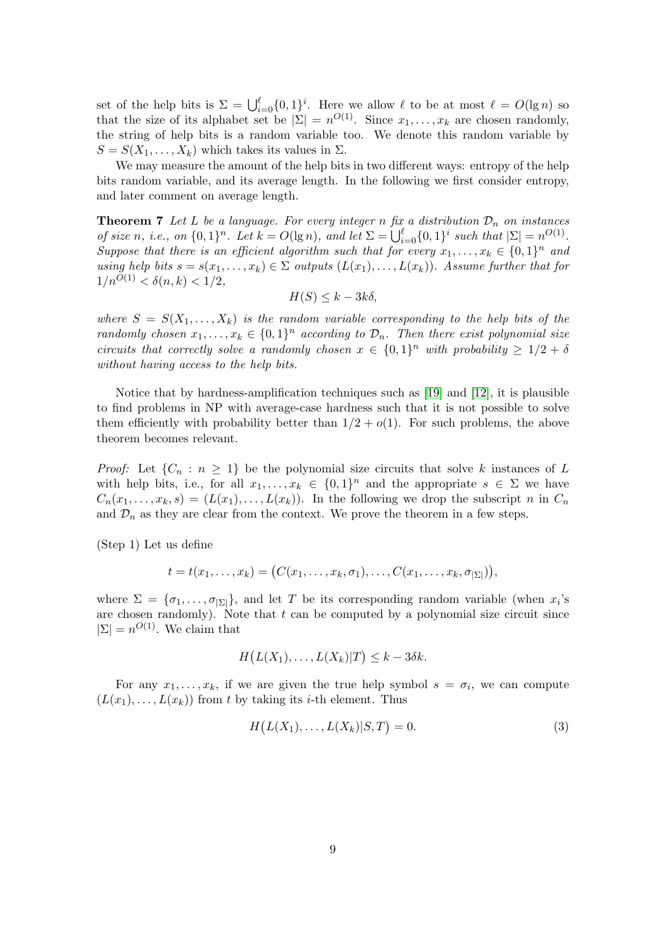set of the help bits is  $\Sigma = \bigcup_{i=0}^{\ell} \{0, 1\}^i$ . Here we allow  $\ell$  to be at most  $\ell = O(\lg n)$  so that the size of its alphabet set be  $|\Sigma| = n^{O(1)}$ . Since  $x_1, \ldots, x_k$  are chosen randomly, the string of help bits is a random variable too. We denote this random variable by  $S = S(X_1, \ldots, X_k)$  which takes its values in  $\Sigma$ .

We may measure the amount of the help bits in two different ways: entropy of the help bits random variable, and its average length. In the following we first consider entropy, and later comment on average length.

<span id="page-8-0"></span>**Theorem 7** Let L be a language. For every integer n fix a distribution  $\mathcal{D}_n$  on instances of size n, i.e., on  $\{0,1\}^n$ . Let  $k = O(\lg n)$ , and let  $\Sigma = \bigcup_{i=0}^{\ell} \{0,1\}^i$  such that  $|\Sigma| = n^{O(1)}$ . Suppose that there is an efficient algorithm such that for every  $x_1, \ldots, x_k \in \{0,1\}^n$  and using help bits  $s = s(x_1, \ldots, x_k) \in \Sigma$  outputs  $(L(x_1), \ldots, L(x_k))$ . Assume further that for  $1/n^{O(1)} < \delta(n,k) < 1/2$ ,

$$
H(S) \leq k - 3k\delta,
$$

where  $S = S(X_1, \ldots, X_k)$  is the random variable corresponding to the help bits of the randomly chosen  $x_1, \ldots, x_k \in \{0,1\}^n$  according to  $\mathcal{D}_n$ . Then there exist polynomial size circuits that correctly solve a randomly chosen  $x \in \{0,1\}^n$  with probability  $\geq 1/2 + \delta$ without having access to the help bits.

Notice that by hardness-amplification techniques such as [\[19\]](#page-14-18) and [\[12\]](#page-14-19), it is plausible to find problems in NP with average-case hardness such that it is not possible to solve them efficiently with probability better than  $1/2 + o(1)$ . For such problems, the above theorem becomes relevant.

*Proof:* Let  $\{C_n : n \geq 1\}$  be the polynomial size circuits that solve k instances of L with help bits, i.e., for all  $x_1, \ldots, x_k \in \{0,1\}^n$  and the appropriate  $s \in \Sigma$  we have  $C_n(x_1,\ldots,x_k,s) = (L(x_1),\ldots,L(x_k)).$  In the following we drop the subscript n in  $C_n$ and  $\mathcal{D}_n$  as they are clear from the context. We prove the theorem in a few steps.

(Step 1) Let us define

$$
t = t(x_1,\ldots,x_k) = (C(x_1,\ldots,x_k,\sigma_1),\ldots,C(x_1,\ldots,x_k,\sigma_{|\Sigma|})),
$$

where  $\Sigma = {\sigma_1, \ldots, \sigma_{|\Sigma|}}$ , and let T be its corresponding random variable (when  $x_i$ 's are chosen randomly). Note that  $t$  can be computed by a polynomial size circuit since  $|\Sigma| = n^{O(1)}$ . We claim that

$$
H(L(X_1),...,L(X_k)|T) \leq k - 3\delta k.
$$

For any  $x_1, \ldots, x_k$ , if we are given the true help symbol  $s = \sigma_i$ , we can compute  $(L(x_1), \ldots, L(x_k))$  from t by taking its i-th element. Thus

<span id="page-8-1"></span>
$$
H(L(X_1),...,L(X_k)|S,T) = 0.
$$
\n(3)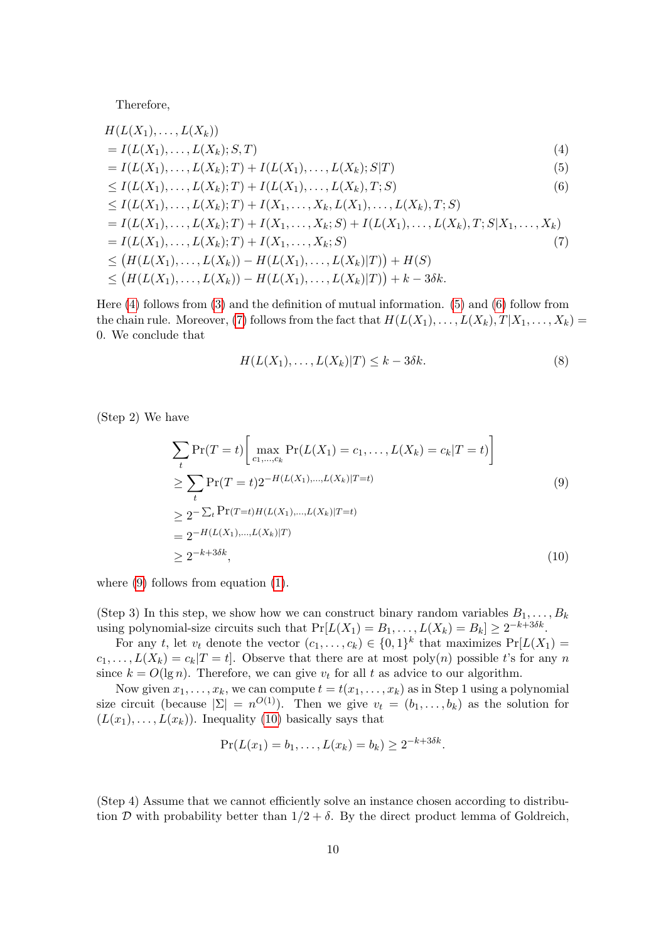Therefore,

$$
H(L(X_1),...,L(X_k))
$$
\n
$$
= I(L(X_1),...,L(X_k); S, T)
$$
\n
$$
= I(L(X_1),...,L(X_k); T) + I(L(X_1),...,L(X_k); S|T)
$$
\n
$$
\leq I(L(X_1),...,L(X_k); T) + I(L(X_1),...,L(X_k), T; S)
$$
\n
$$
\leq I(L(X_1),...,L(X_k); T) + I(X_1,...,X_k, L(X_1),...,L(X_k), T; S)
$$
\n
$$
= I(L(X_1),...,L(X_k); T) + I(X_1,...,X_k; S) + I(L(X_1),...,L(X_k), T; S|X_1,...,X_k)
$$
\n
$$
= I(L(X_1),...,L(X_k); T) + I(X_1,...,X_k; S)
$$
\n
$$
\leq (H(L(X_1),...,L(X_k)) - H(L(X_1),...,L(X_k)|T)) + H(S)
$$
\n
$$
\leq (H(L(X_1),...,L(X_k)) - H(L(X_1),...,L(X_k)|T)) + k - 3\delta k.
$$
\n(7)

Here [\(4\)](#page-9-0) follows from [\(3\)](#page-8-1) and the definition of mutual information. [\(5\)](#page-9-1) and [\(6\)](#page-9-2) follow from the chain rule. Moreover, [\(7\)](#page-9-3) follows from the fact that  $H(L(X_1), \ldots, L(X_k), T | X_1, \ldots, X_k) =$ 0. We conclude that

<span id="page-9-5"></span><span id="page-9-4"></span><span id="page-9-3"></span><span id="page-9-2"></span><span id="page-9-1"></span><span id="page-9-0"></span>
$$
H(L(X_1),...,L(X_k)|T) \le k - 3\delta k. \tag{8}
$$

(Step 2) We have

$$
\sum_{t} \Pr(T = t) \left[ \max_{c_1, \dots, c_k} \Pr(L(X_1) = c_1, \dots, L(X_k) = c_k | T = t) \right]
$$
\n
$$
\geq \sum_{t} \Pr(T = t) 2^{-H(L(X_1), \dots, L(X_k)|T = t)} \tag{9}
$$
\n
$$
\geq 2^{-\sum_{t} \Pr(T = t) H(L(X_1), \dots, L(X_k)|T = t)} \tag{9}
$$
\n
$$
= 2^{-H(L(X_1), \dots, L(X_k)|T)} \tag{10}
$$

where [\(9\)](#page-9-4) follows from equation [\(1\)](#page-4-2).

(Step 3) In this step, we show how we can construct binary random variables  $B_1, \ldots, B_k$ using polynomial-size circuits such that  $Pr[L(X_1) = B_1, \ldots, L(X_k) = B_k] \ge 2^{-k+3\delta k}$ .

For any t, let  $v_t$  denote the vector  $(c_1, \ldots, c_k) \in \{0,1\}^k$  that maximizes  $Pr[L(X_1) =$  $c_1, \ldots, L(X_k) = c_k |T = t|$ . Observe that there are at most poly $(n)$  possible t's for any n since  $k = O(\lg n)$ . Therefore, we can give  $v_t$  for all t as advice to our algorithm.

Now given  $x_1, \ldots, x_k$ , we can compute  $t = t(x_1, \ldots, x_k)$  as in Step 1 using a polynomial size circuit (because  $|\Sigma| = n^{O(1)}$ ). Then we give  $v_t = (b_1, \ldots, b_k)$  as the solution for  $(L(x_1),..., L(x_k))$ . Inequality [\(10\)](#page-9-5) basically says that

$$
Pr(L(x_1) = b_1, ..., L(x_k) = b_k) \ge 2^{-k+3\delta k}.
$$

(Step 4) Assume that we cannot efficiently solve an instance chosen according to distribution D with probability better than  $1/2 + \delta$ . By the direct product lemma of Goldreich,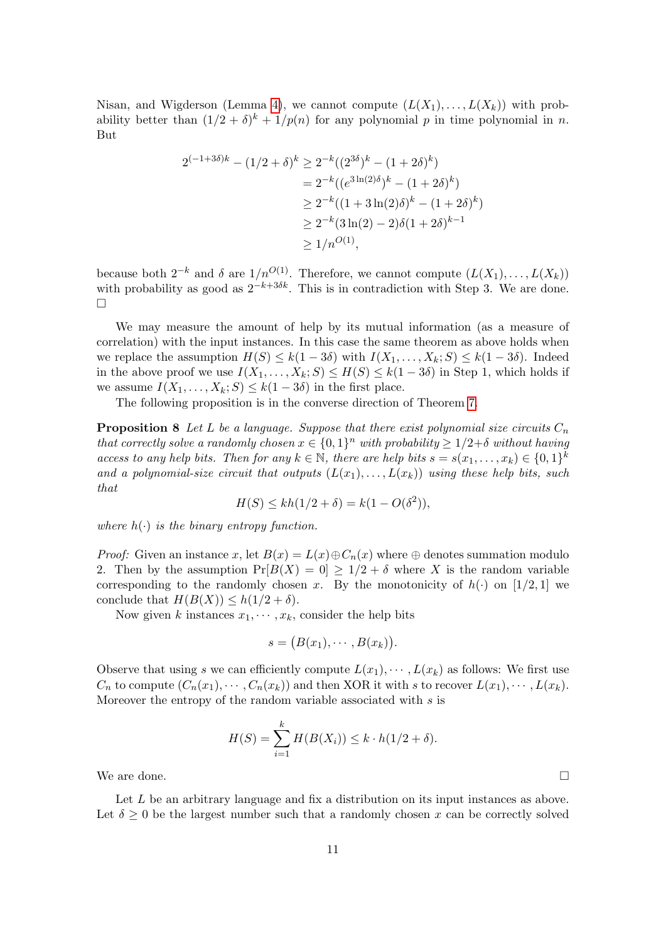Nisan, and Wigderson (Lemma [4\)](#page-4-3), we cannot compute  $(L(X_1),..., L(X_k))$  with probability better than  $(1/2 + \delta)^k + 1/p(n)$  for any polynomial p in time polynomial in n. But

$$
2^{(-1+3\delta)k} - (1/2+\delta)^k \ge 2^{-k}((2^{3\delta})^k - (1+2\delta)^k)
$$
  
=  $2^{-k}((e^{3\ln(2)\delta})^k - (1+2\delta)^k)$   
 $\ge 2^{-k}((1+3\ln(2)\delta)^k - (1+2\delta)^k)$   
 $\ge 2^{-k}(3\ln(2) - 2)\delta(1+2\delta)^{k-1}$   
 $\ge 1/n^{O(1)},$ 

because both  $2^{-k}$  and  $\delta$  are  $1/n^{O(1)}$ . Therefore, we cannot compute  $(L(X_1),...,L(X_k))$ with probability as good as  $2^{-k+3\delta k}$ . This is in contradiction with Step 3. We are done.  $\Box$ 

We may measure the amount of help by its mutual information (as a measure of correlation) with the input instances. In this case the same theorem as above holds when we replace the assumption  $H(S) \leq k(1-3\delta)$  with  $I(X_1,\ldots,X_k;S) \leq k(1-3\delta)$ . Indeed in the above proof we use  $I(X_1, \ldots, X_k; S) \leq H(S) \leq k(1 - 3\delta)$  in Step 1, which holds if we assume  $I(X_1, \ldots, X_k; S) \leq k(1 - 3\delta)$  in the first place.

The following proposition is in the converse direction of Theorem [7.](#page-8-0)

<span id="page-10-0"></span>**Proposition 8** Let L be a language. Suppose that there exist polynomial size circuits  $C_n$ that correctly solve a randomly chosen  $x \in \{0,1\}^n$  with probability  $\geq 1/2+\delta$  without having access to any help bits. Then for any  $k \in \mathbb{N}$ , there are help bits  $s = s(x_1, \ldots, x_k) \in \{0,1\}^k$ and a polynomial-size circuit that outputs  $(L(x_1), \ldots, L(x_k))$  using these help bits, such that

$$
H(S) \le kh(1/2 + \delta) = k(1 - O(\delta^2)),
$$

where  $h(\cdot)$  is the binary entropy function.

*Proof:* Given an instance x, let  $B(x) = L(x) \oplus C_n(x)$  where  $\oplus$  denotes summation modulo 2. Then by the assumption  $Pr[B(X) = 0] > 1/2 + \delta$  where X is the random variable corresponding to the randomly chosen x. By the monotonicity of  $h(\cdot)$  on [1/2, 1] we conclude that  $H(B(X)) \leq h(1/2 + \delta)$ .

Now given k instances  $x_1, \dots, x_k$ , consider the help bits

$$
s = (B(x_1), \cdots, B(x_k)).
$$

Observe that using s we can efficiently compute  $L(x_1), \cdots, L(x_k)$  as follows: We first use  $C_n$  to compute  $(C_n(x_1), \cdots, C_n(x_k))$  and then XOR it with s to recover  $L(x_1), \cdots, L(x_k)$ . Moreover the entropy of the random variable associated with s is

$$
H(S) = \sum_{i=1}^{k} H(B(X_i)) \leq k \cdot h(1/2 + \delta).
$$

We are done.  $\Box$ 

Let L be an arbitrary language and fix a distribution on its input instances as above. Let  $\delta \geq 0$  be the largest number such that a randomly chosen x can be correctly solved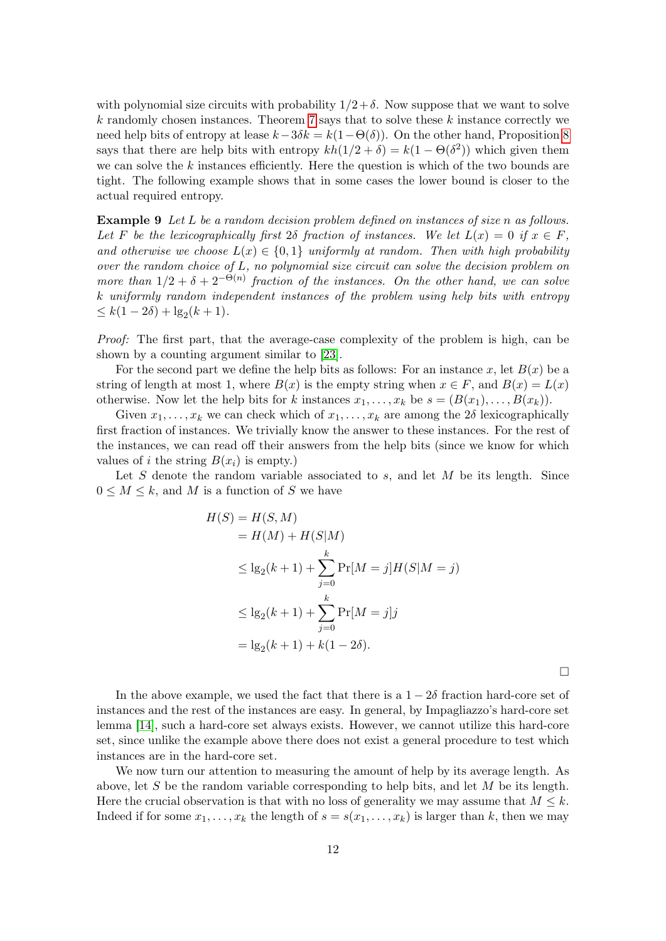with polynomial size circuits with probability  $1/2+\delta$ . Now suppose that we want to solve  $k$  randomly chosen instances. Theorem [7](#page-8-0) says that to solve these  $k$  instance correctly we need help bits of entropy at lease  $k-3\delta k = k(1-\Theta(\delta))$ . On the other hand, Proposition [8](#page-10-0) says that there are help bits with entropy  $kh(1/2 + \delta) = k(1 - \Theta(\delta^2))$  which given them we can solve the  $k$  instances efficiently. Here the question is which of the two bounds are tight. The following example shows that in some cases the lower bound is closer to the actual required entropy.

Example 9 Let L be a random decision problem defined on instances of size n as follows. Let F be the lexicographically first  $2\delta$  fraction of instances. We let  $L(x) = 0$  if  $x \in F$ , and otherwise we choose  $L(x) \in \{0,1\}$  uniformly at random. Then with high probability over the random choice of  $L$ , no polynomial size circuit can solve the decision problem on more than  $1/2 + \delta + 2^{-\Theta(n)}$  fraction of the instances. On the other hand, we can solve k uniformly random independent instances of the problem using help bits with entropy  $\leq k(1-2\delta) + \lg_2(k+1).$ 

Proof: The first part, that the average-case complexity of the problem is high, can be shown by a counting argument similar to [\[23\]](#page--1-2).

For the second part we define the help bits as follows: For an instance x, let  $B(x)$  be a string of length at most 1, where  $B(x)$  is the empty string when  $x \in F$ , and  $B(x) = L(x)$ otherwise. Now let the help bits for k instances  $x_1, \ldots, x_k$  be  $s = (B(x_1), \ldots, B(x_k)).$ 

Given  $x_1, \ldots, x_k$  we can check which of  $x_1, \ldots, x_k$  are among the  $2\delta$  lexicographically first fraction of instances. We trivially know the answer to these instances. For the rest of the instances, we can read off their answers from the help bits (since we know for which values of i the string  $B(x_i)$  is empty.)

Let S denote the random variable associated to s, and let  $M$  be its length. Since  $0 \leq M \leq k$ , and M is a function of S we have

$$
H(S) = H(S, M)
$$
  
=  $H(M) + H(S|M)$   

$$
\leq \lg_2(k+1) + \sum_{j=0}^k \Pr[M=j]H(S|M=j)
$$
  

$$
\leq \lg_2(k+1) + \sum_{j=0}^k \Pr[M=j]j
$$
  
=  $\lg_2(k+1) + k(1-2\delta)$ .

 $\Box$ 

In the above example, we used the fact that there is a  $1 - 2\delta$  fraction hard-core set of instances and the rest of the instances are easy. In general, by Impagliazzo's hard-core set lemma [\[14\]](#page-14-20), such a hard-core set always exists. However, we cannot utilize this hard-core set, since unlike the example above there does not exist a general procedure to test which instances are in the hard-core set.

We now turn our attention to measuring the amount of help by its average length. As above, let S be the random variable corresponding to help bits, and let  $M$  be its length. Here the crucial observation is that with no loss of generality we may assume that  $M \leq k$ . Indeed if for some  $x_1, \ldots, x_k$  the length of  $s = s(x_1, \ldots, x_k)$  is larger than k, then we may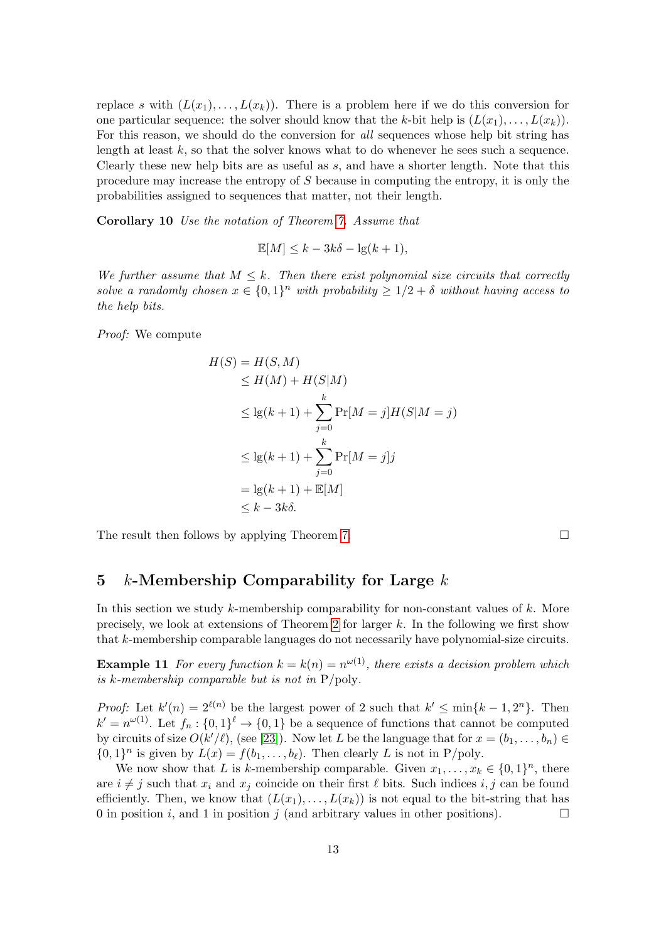replace s with  $(L(x_1), \ldots, L(x_k))$ . There is a problem here if we do this conversion for one particular sequence: the solver should know that the k-bit help is  $(L(x_1), \ldots, L(x_k))$ . For this reason, we should do the conversion for all sequences whose help bit string has length at least  $k$ , so that the solver knows what to do whenever he sees such a sequence. Clearly these new help bits are as useful as s, and have a shorter length. Note that this procedure may increase the entropy of S because in computing the entropy, it is only the probabilities assigned to sequences that matter, not their length.

Corollary 10 Use the notation of Theorem [7.](#page-8-0) Assume that

$$
\mathbb{E}[M] \le k - 3k\delta - \lg(k+1),
$$

We further assume that  $M \leq k$ . Then there exist polynomial size circuits that correctly solve a randomly chosen  $x \in \{0,1\}^n$  with probability  $\geq 1/2 + \delta$  without having access to the help bits.

Proof: We compute

$$
H(S) = H(S, M)
$$
  
\n
$$
\leq H(M) + H(S|M)
$$
  
\n
$$
\leq \lg(k+1) + \sum_{j=0}^{k} \Pr[M = j]H(S|M = j)
$$
  
\n
$$
\leq \lg(k+1) + \sum_{j=0}^{k} \Pr[M = j]j
$$
  
\n
$$
= \lg(k+1) + \mathbb{E}[M]
$$
  
\n
$$
\leq k - 3k\delta.
$$

The result then follows by applying Theorem [7.](#page-8-0)  $\Box$ 

### <span id="page-12-1"></span>5 k-Membership Comparability for Large  $k$

In this section we study  $k$ -membership comparability for non-constant values of  $k$ . More precisely, we look at extensions of Theorem [2](#page-4-0) for larger  $k$ . In the following we first show that k-membership comparable languages do not necessarily have polynomial-size circuits.

<span id="page-12-0"></span>**Example 11** For every function  $k = k(n) = n^{\omega(1)}$ , there exists a decision problem which is k-membership comparable but is not in  $P/\text{poly}$ .

*Proof:* Let  $k'(n) = 2^{\ell(n)}$  be the largest power of 2 such that  $k' \le \min\{k-1, 2^n\}$ . Then  $k' = n^{\omega(1)}$ . Let  $f_n : \{0,1\}^{\ell} \to \{0,1\}$  be a sequence of functions that cannot be computed by circuits of size  $O(k'/\ell)$ , (see [\[23\]](#page--1-2)). Now let L be the language that for  $x = (b_1, \ldots, b_n) \in$  $\{0,1\}^n$  is given by  $L(x) = f(b_1,\ldots,b_\ell)$ . Then clearly L is not in P/poly.

We now show that L is k-membership comparable. Given  $x_1, \ldots, x_k \in \{0,1\}^n$ , there are  $i \neq j$  such that  $x_i$  and  $x_j$  coincide on their first  $\ell$  bits. Such indices i, j can be found efficiently. Then, we know that  $(L(x_1),..., L(x_k))$  is not equal to the bit-string that has 0 in position i, and 1 in position j (and arbitrary values in other positions).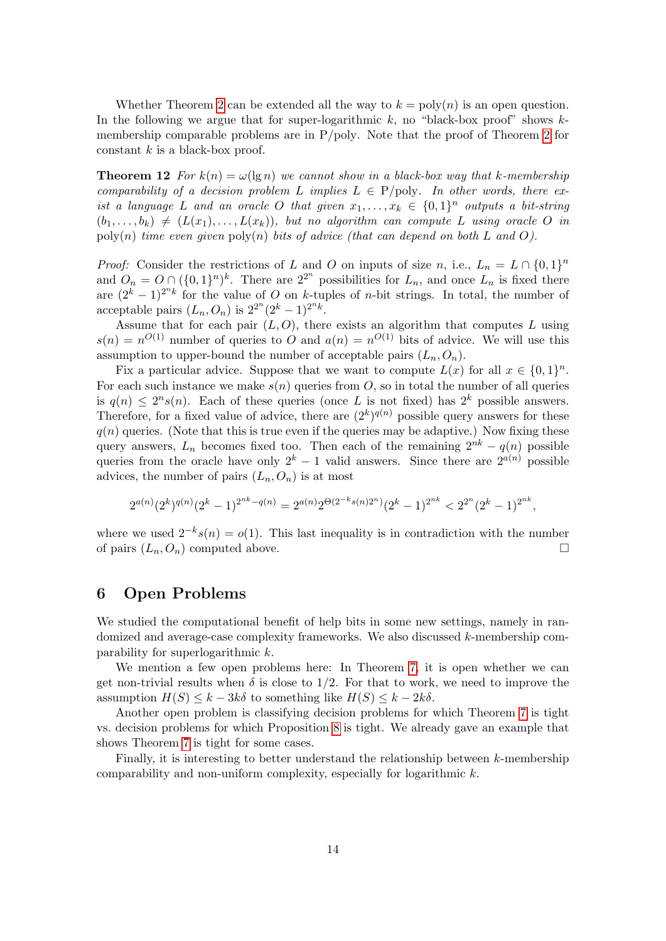Whether Theorem [2](#page-4-0) can be extended all the way to  $k = \text{poly}(n)$  is an open question. In the following we argue that for super-logarithmic  $k$ , no "black-box proof" shows  $k$ membership comparable problems are in P/poly. Note that the proof of Theorem [2](#page-4-0) for constant  $k$  is a black-box proof.

<span id="page-13-0"></span>**Theorem 12** For  $k(n) = \omega(\lg n)$  we cannot show in a black-box way that k-membership comparability of a decision problem L implies  $L \in P$ /poly. In other words, there exist a language L and an oracle O that given  $x_1, \ldots, x_k \in \{0,1\}^n$  outputs a bit-string  $(b_1, \ldots, b_k) \neq (L(x_1), \ldots, L(x_k))$ , but no algorithm can compute L using oracle O in poly(n) time even given  $poly(n)$  bits of advice (that can depend on both L and O).

*Proof:* Consider the restrictions of L and O on inputs of size n, i.e.,  $L_n = L \cap \{0,1\}^n$ and  $O_n = O \cap (\{0,1\}^n)^k$ . There are  $2^{2^n}$  possibilities for  $L_n$ , and once  $L_n$  is fixed there are  $(2<sup>k</sup> - 1)<sup>2<sup>n</sup>k</sup>$  for the value of O on k-tuples of n-bit strings. In total, the number of acceptable pairs  $(L_n, O_n)$  is  $2^{2^n}(2^k-1)^{2^nk}$ .

Assume that for each pair  $(L, O)$ , there exists an algorithm that computes L using  $s(n) = n^{O(1)}$  number of queries to O and  $a(n) = n^{O(1)}$  bits of advice. We will use this assumption to upper-bound the number of acceptable pairs  $(L_n, O_n)$ .

Fix a particular advice. Suppose that we want to compute  $L(x)$  for all  $x \in \{0,1\}^n$ . For each such instance we make  $s(n)$  queries from O, so in total the number of all queries is  $q(n) \leq 2^n s(n)$ . Each of these queries (once L is not fixed) has  $2^k$  possible answers. Therefore, for a fixed value of advice, there are  $(2^k)^{q(n)}$  possible query answers for these  $q(n)$  queries. (Note that this is true even if the queries may be adaptive.) Now fixing these query answers,  $L_n$  becomes fixed too. Then each of the remaining  $2^{nk} - q(n)$  possible queries from the oracle have only  $2^k - 1$  valid answers. Since there are  $2^{a(n)}$  possible advices, the number of pairs  $(L_n, O_n)$  is at most

$$
2^{a(n)}(2^k)^{q(n)}(2^k-1)^{2^{nk}-q(n)} = 2^{a(n)}2^{\Theta(2^{-k}s(n)2^n)}(2^k-1)^{2^{nk}} < 2^{2^n}(2^k-1)^{2^{nk}},
$$

where we used  $2^{-k}s(n) = o(1)$ . This last inequality is in contradiction with the number of pairs  $(L_n, O_n)$  computed above.

## 6 Open Problems

We studied the computational benefit of help bits in some new settings, namely in randomized and average-case complexity frameworks. We also discussed k-membership comparability for superlogarithmic k.

We mention a few open problems here: In Theorem [7,](#page-8-0) it is open whether we can get non-trivial results when  $\delta$  is close to 1/2. For that to work, we need to improve the assumption  $H(S) \leq k - 3k\delta$  to something like  $H(S) \leq k - 2k\delta$ .

Another open problem is classifying decision problems for which Theorem [7](#page-8-0) is tight vs. decision problems for which Proposition [8](#page-10-0) is tight. We already gave an example that shows Theorem [7](#page-8-0) is tight for some cases.

Finally, it is interesting to better understand the relationship between k-membership comparability and non-uniform complexity, especially for logarithmic k.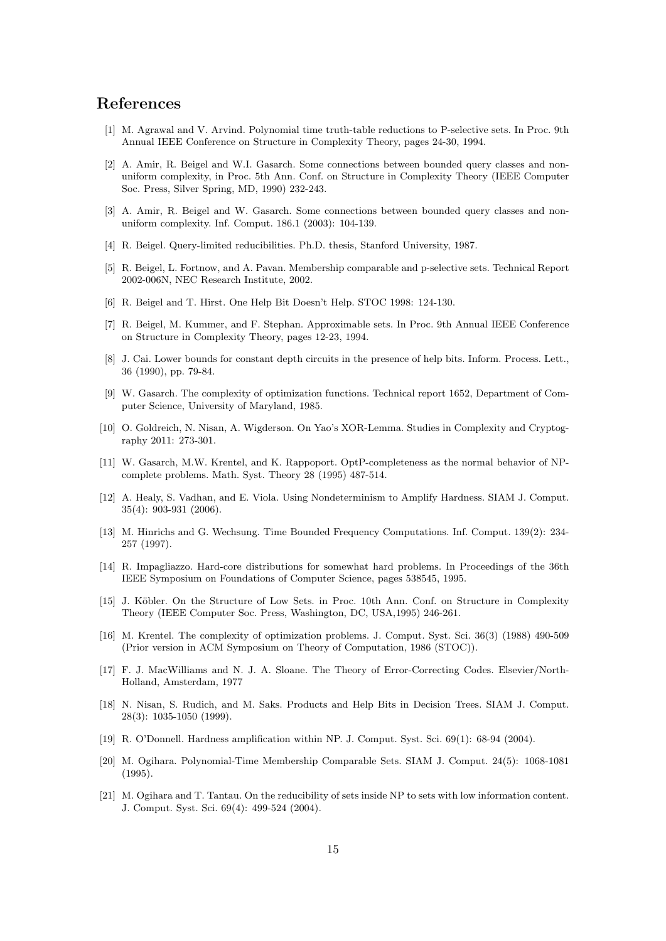# References

- <span id="page-14-9"></span>[1] M. Agrawal and V. Arvind. Polynomial time truth-table reductions to P-selective sets. In Proc. 9th Annual IEEE Conference on Structure in Complexity Theory, pages 24-30, 1994.
- <span id="page-14-1"></span>[2] A. Amir, R. Beigel and W.I. Gasarch. Some connections between bounded query classes and nonuniform complexity, in Proc. 5th Ann. Conf. on Structure in Complexity Theory (IEEE Computer Soc. Press, Silver Spring, MD, 1990) 232-243.
- <span id="page-14-2"></span>[3] A. Amir, R. Beigel and W. Gasarch. Some connections between bounded query classes and nonuniform complexity. Inf. Comput. 186.1 (2003): 104-139.
- <span id="page-14-6"></span>[4] R. Beigel. Query-limited reducibilities. Ph.D. thesis, Stanford University, 1987.
- <span id="page-14-7"></span>[5] R. Beigel, L. Fortnow, and A. Pavan. Membership comparable and p-selective sets. Technical Report 2002-006N, NEC Research Institute, 2002.
- <span id="page-14-13"></span>[6] R. Beigel and T. Hirst. One Help Bit Doesn't Help. STOC 1998: 124-130.
- <span id="page-14-8"></span>[7] R. Beigel, M. Kummer, and F. Stephan. Approximable sets. In Proc. 9th Annual IEEE Conference on Structure in Complexity Theory, pages 12-23, 1994.
- <span id="page-14-14"></span>[8] J. Cai. Lower bounds for constant depth circuits in the presence of help bits. Inform. Process. Lett., 36 (1990), pp. 79-84.
- <span id="page-14-4"></span>[9] W. Gasarch. The complexity of optimization functions. Technical report 1652, Department of Computer Science, University of Maryland, 1985.
- <span id="page-14-15"></span>[10] O. Goldreich, N. Nisan, A. Wigderson. On Yao's XOR-Lemma. Studies in Complexity and Cryptography 2011: 273-301.
- <span id="page-14-5"></span>[11] W. Gasarch, M.W. Krentel, and K. Rappoport. OptP-completeness as the normal behavior of NPcomplete problems. Math. Syst. Theory 28 (1995) 487-514.
- <span id="page-14-19"></span>[12] A. Healy, S. Vadhan, and E. Viola. Using Nondeterminism to Amplify Hardness. SIAM J. Comput. 35(4): 903-931 (2006).
- <span id="page-14-17"></span>[13] M. Hinrichs and G. Wechsung. Time Bounded Frequency Computations. Inf. Comput. 139(2): 234- 257 (1997).
- <span id="page-14-20"></span>[14] R. Impagliazzo. Hard-core distributions for somewhat hard problems. In Proceedings of the 36th IEEE Symposium on Foundations of Computer Science, pages 538545, 1995.
- <span id="page-14-11"></span>[15] J. Köbler. On the Structure of Low Sets. in Proc. 10th Ann. Conf. on Structure in Complexity Theory (IEEE Computer Soc. Press, Washington, DC, USA,1995) 246-261.
- <span id="page-14-3"></span>[16] M. Krentel. The complexity of optimization problems. J. Comput. Syst. Sci. 36(3) (1988) 490-509 (Prior version in ACM Symposium on Theory of Computation, 1986 (STOC)).
- <span id="page-14-16"></span>[17] F. J. MacWilliams and N. J. A. Sloane. The Theory of Error-Correcting Codes. Elsevier/North-Holland, Amsterdam, 1977
- <span id="page-14-12"></span>[18] N. Nisan, S. Rudich, and M. Saks. Products and Help Bits in Decision Trees. SIAM J. Comput. 28(3): 1035-1050 (1999).
- <span id="page-14-18"></span>[19] R. O'Donnell. Hardness amplification within NP. J. Comput. Syst. Sci. 69(1): 68-94 (2004).
- <span id="page-14-0"></span>[20] M. Ogihara. Polynomial-Time Membership Comparable Sets. SIAM J. Comput. 24(5): 1068-1081 (1995).
- <span id="page-14-10"></span>[21] M. Ogihara and T. Tantau. On the reducibility of sets inside NP to sets with low information content. J. Comput. Syst. Sci. 69(4): 499-524 (2004).